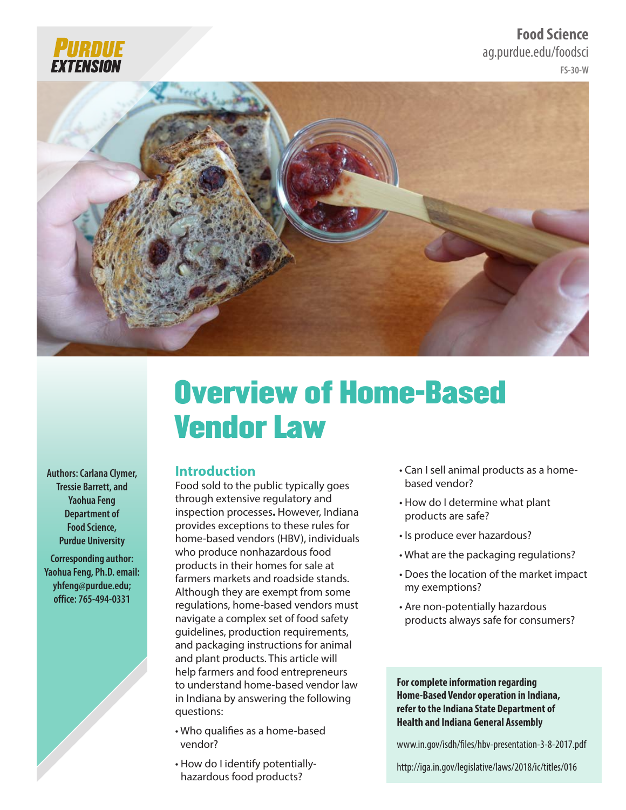

**FS-30-W Food Science** ag.purdue.edu/foodsci



# Overview of Home-Based Vendor Law

**Authors: Carlana Clymer, Tressie Barrett, and Yaohua Feng Department of Food Science, Purdue University**

**Corresponding author: Yaohua Feng, Ph.D. email: yhfeng@purdue.edu; office: 765-494-0331**

## **Introduction**

Food sold to the public typically goes through extensive regulatory and inspection processes**.** However, Indiana provides exceptions to these rules for home-based vendors (HBV), individuals who produce nonhazardous food products in their homes for sale at farmers markets and roadside stands. Although they are exempt from some regulations, home-based vendors must navigate a complex set of food safety guidelines, production requirements, and packaging instructions for animal and plant products. This article will help farmers and food entrepreneurs to understand home-based vendor law in Indiana by answering the following questions:

- Who qualifies as a home-based vendor?
- How do I identify potentiallyhazardous food products?
- Can I sell animal products as a homebased vendor?
- How do I determine what plant products are safe?
- Is produce ever hazardous?
- What are the packaging regulations?
- Does the location of the market impact my exemptions?
- Are non-potentially hazardous products always safe for consumers?

**For complete information regarding Home-Based Vendor operation in Indiana, refer to the Indiana State Department of Health and Indiana General Assembly** 

www.in.gov/isdh/files/hbv-presentation-3-8-2017.pdf

http://iga.in.gov/legislative/laws/2018/ic/titles/016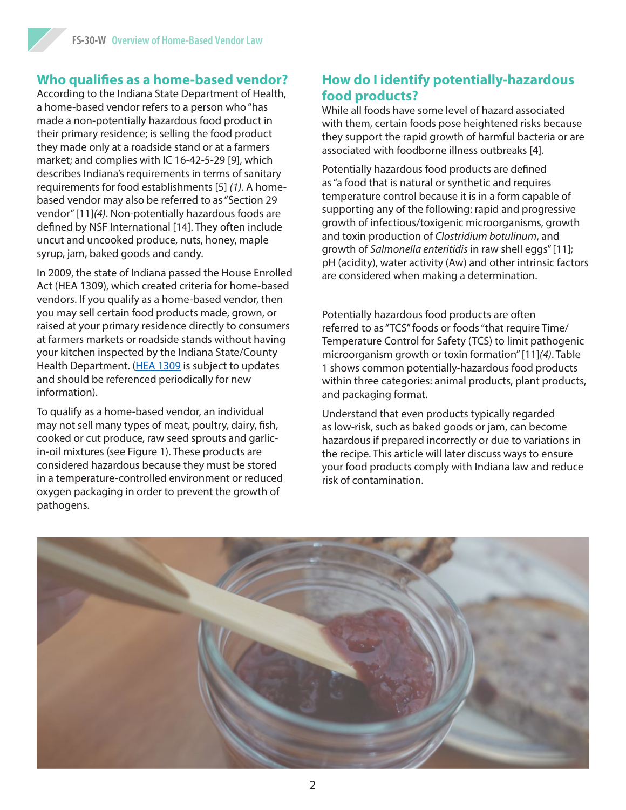# **Who qualifies as a home-based vendor?**

According to the Indiana State Department of Health, a home-based vendor refers to a person who "has made a non-potentially hazardous food product in their primary residence; is selling the food product they made only at a roadside stand or at a farmers market; and complies with IC 16-42-5-29 [9], which describes Indiana's requirements in terms of sanitary requirements for food establishments [5] *(1)*. A homebased vendor may also be referred to as "Section 29 vendor" [11]*(4)*. Non-potentially hazardous foods are defined by NSF International [14]. They often include uncut and uncooked produce, nuts, honey, maple syrup, jam, baked goods and candy.

In 2009, the state of Indiana passed the House Enrolled Act (HEA 1309), which created criteria for home-based vendors. If you qualify as a home-based vendor, then you may sell certain food products made, grown, or raised at your primary residence directly to consumers at farmers markets or roadside stands without having your kitchen inspected by the Indiana State/County Health Department. ([HEA 1309](http://www.in.gov/apps/lsa/session/billwatch/billinfo?year=2009&session=1&request=getBill&doctype=HB&docno=1309) is subject to updates and should be referenced periodically for new information).

To qualify as a home-based vendor, an individual may not sell many types of meat, poultry, dairy, fish, cooked or cut produce, raw seed sprouts and garlicin-oil mixtures (see Figure 1). These products are considered hazardous because they must be stored in a temperature-controlled environment or reduced oxygen packaging in order to prevent the growth of pathogens.

## **How do I identify potentially-hazardous food products?**

While all foods have some level of hazard associated with them, certain foods pose heightened risks because they support the rapid growth of harmful bacteria or are associated with foodborne illness outbreaks [4].

Potentially hazardous food products are defined as "a food that is natural or synthetic and requires temperature control because it is in a form capable of supporting any of the following: rapid and progressive growth of infectious/toxigenic microorganisms, growth and toxin production of *Clostridium botulinum*, and growth of *Salmonella enteritidis* in raw shell eggs" [11]; pH (acidity), water activity (Aw) and other intrinsic factors are considered when making a determination.

Potentially hazardous food products are often referred to as "TCS" foods or foods "that require Time/ Temperature Control for Safety (TCS) to limit pathogenic microorganism growth or toxin formation" [11]*(4)*. Table 1 shows common potentially-hazardous food products within three categories: animal products, plant products, and packaging format.

Understand that even products typically regarded as low-risk, such as baked goods or jam, can become hazardous if prepared incorrectly or due to variations in the recipe. This article will later discuss ways to ensure your food products comply with Indiana law and reduce risk of contamination.

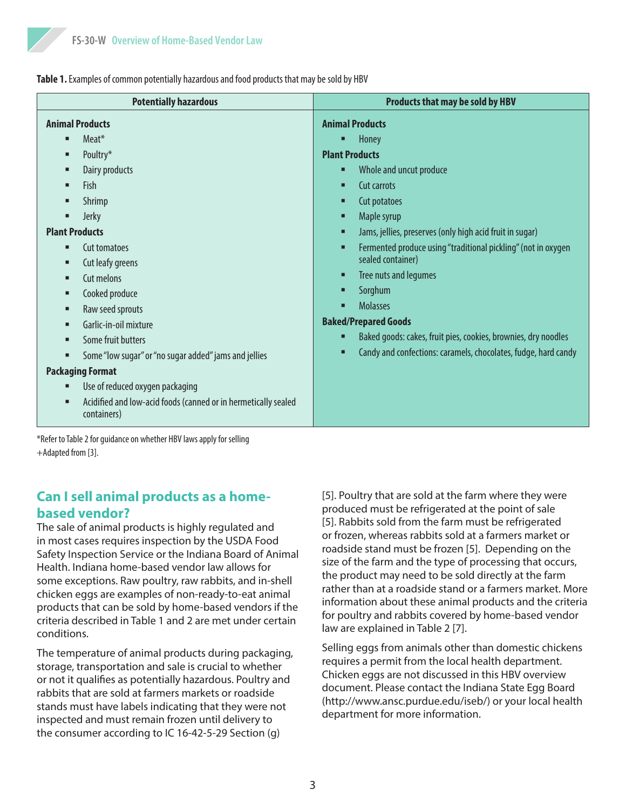Table 1. Examples of common potentially hazardous and food products that may be sold by HBV

| <b>Potentially hazardous</b>                                                                                                                                                                                                                                                                                                                                                                                                                            | Products that may be sold by HBV                                                                                                                                                                                                                                                                                                                                                                                                                                                                                                                                     |
|---------------------------------------------------------------------------------------------------------------------------------------------------------------------------------------------------------------------------------------------------------------------------------------------------------------------------------------------------------------------------------------------------------------------------------------------------------|----------------------------------------------------------------------------------------------------------------------------------------------------------------------------------------------------------------------------------------------------------------------------------------------------------------------------------------------------------------------------------------------------------------------------------------------------------------------------------------------------------------------------------------------------------------------|
| <b>Animal Products</b><br>Meat*<br>п<br>Poultry*<br>п<br>Dairy products<br>٠<br><b>Fish</b><br>п<br>Shrimp<br>■<br>Jerky<br>п<br><b>Plant Products</b><br>Cut tomatoes<br>п<br>Cut leafy greens<br>٠<br>Cut melons<br>٠<br>Cooked produce<br>п<br>Raw seed sprouts<br>п<br>Garlic-in-oil mixture<br>٠<br>Some fruit butters<br>п<br>Some "low sugar" or "no sugar added" jams and jellies<br><b>Packaging Format</b><br>Use of reduced oxygen packaging | <b>Animal Products</b><br>Honey<br><b>Plant Products</b><br>Whole and uncut produce<br>Ξ<br>Cut carrots<br>п<br>Cut potatoes<br>о<br>Maple syrup<br>п<br>Jams, jellies, preserves (only high acid fruit in sugar)<br>о<br>Fermented produce using "traditional pickling" (not in oxygen<br>П<br>sealed container)<br>Tree nuts and legumes<br>п<br>Sorghum<br>п<br><b>Molasses</b><br>п<br><b>Baked/Prepared Goods</b><br>Baked goods: cakes, fruit pies, cookies, brownies, dry noodles<br>Ξ<br>Candy and confections: caramels, chocolates, fudge, hard candy<br>П |
| Acidified and low-acid foods (canned or in hermetically sealed<br>г<br>containers)                                                                                                                                                                                                                                                                                                                                                                      |                                                                                                                                                                                                                                                                                                                                                                                                                                                                                                                                                                      |
| *Refer to Table 2 for quidance on whether HBV laws apply for selling                                                                                                                                                                                                                                                                                                                                                                                    |                                                                                                                                                                                                                                                                                                                                                                                                                                                                                                                                                                      |

\*Refer to Table 2 for guidance on whether HBV laws apply for selling +Adapted from [3].

# **Can I sell animal products as a homebased vendor?**

The sale of animal products is highly regulated and in most cases requires inspection by the USDA Food Safety Inspection Service or the Indiana Board of Animal Health. Indiana home-based vendor law allows for some exceptions. Raw poultry, raw rabbits, and in-shell chicken eggs are examples of non-ready-to-eat animal products that can be sold by home-based vendors if the criteria described in Table 1 and 2 are met under certain conditions.

The temperature of animal products during packaging, storage, transportation and sale is crucial to whether or not it qualifies as potentially hazardous. Poultry and rabbits that are sold at farmers markets or roadside stands must have labels indicating that they were not inspected and must remain frozen until delivery to the consumer according to IC 16-42-5-29 Section (g)

[5]. Poultry that are sold at the farm where they were produced must be refrigerated at the point of sale [5]. Rabbits sold from the farm must be refrigerated or frozen, whereas rabbits sold at a farmers market or roadside stand must be frozen [5]. Depending on the size of the farm and the type of processing that occurs, the product may need to be sold directly at the farm rather than at a roadside stand or a farmers market. More information about these animal products and the criteria for poultry and rabbits covered by home-based vendor law are explained in Table 2 [7].

Selling eggs from animals other than domestic chickens requires a permit from the local health department. Chicken eggs are not discussed in this HBV overview document. Please contact the Indiana State Egg Board (http://www.ansc.purdue.edu/iseb/) or your local health department for more information.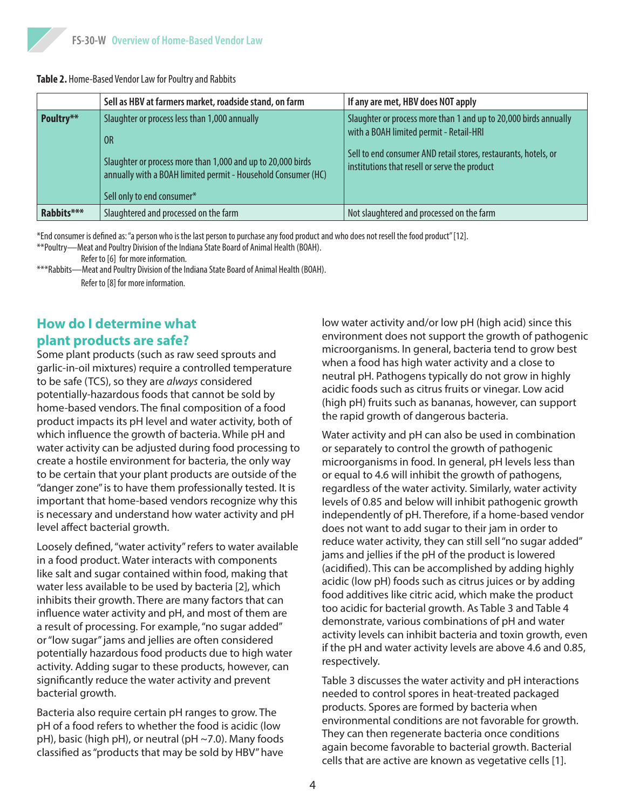#### **Table 2.** Home-Based Vendor Law for Poultry and Rabbits

|            | Sell as HBV at farmers market, roadside stand, on farm                                                                                                                                                            | If any are met, HBV does NOT apply                                                                                                                                                                                              |
|------------|-------------------------------------------------------------------------------------------------------------------------------------------------------------------------------------------------------------------|---------------------------------------------------------------------------------------------------------------------------------------------------------------------------------------------------------------------------------|
| Poultry**  | Slaughter or process less than 1,000 annually<br>0R<br>Slaughter or process more than 1,000 and up to 20,000 birds<br>annually with a BOAH limited permit - Household Consumer (HC)<br>Sell only to end consumer* | Slaughter or process more than 1 and up to 20,000 birds annually<br>with a BOAH limited permit - Retail-HRI<br>Sell to end consumer AND retail stores, restaurants, hotels, or<br>institutions that resell or serve the product |
| Rabbits*** | Slaughtered and processed on the farm                                                                                                                                                                             | Not slaughtered and processed on the farm                                                                                                                                                                                       |

\*End consumer is defined as: "a person who is the last person to purchase any food product and who does not resell the food product" [12].

\*\*Poultry—Meat and Poultry Division of the Indiana State Board of Animal Health (BOAH). Refer to [6] for more information.

\*\*\*Rabbits—Meat and Poultry Division of the Indiana State Board of Animal Health (BOAH).

#### Refer to [8] for more information.

# **How do I determine what plant products are safe?**

Some plant products (such as raw seed sprouts and garlic-in-oil mixtures) require a controlled temperature to be safe (TCS), so they are *always* considered potentially-hazardous foods that cannot be sold by home-based vendors. The final composition of a food product impacts its pH level and water activity, both of which influence the growth of bacteria. While pH and water activity can be adjusted during food processing to create a hostile environment for bacteria, the only way to be certain that your plant products are outside of the "danger zone" is to have them professionally tested. It is important that home-based vendors recognize why this is necessary and understand how water activity and pH level affect bacterial growth.

Loosely defined, "water activity" refers to water available in a food product. Water interacts with components like salt and sugar contained within food, making that water less available to be used by bacteria [2], which inhibits their growth. There are many factors that can influence water activity and pH, and most of them are a result of processing. For example, "no sugar added" or "low sugar" jams and jellies are often considered potentially hazardous food products due to high water activity. Adding sugar to these products, however, can significantly reduce the water activity and prevent bacterial growth.

Bacteria also require certain pH ranges to grow. The pH of a food refers to whether the food is acidic (low pH), basic (high pH), or neutral (pH ~7.0). Many foods classified as "products that may be sold by HBV" have

low water activity and/or low pH (high acid) since this environment does not support the growth of pathogenic microorganisms. In general, bacteria tend to grow best when a food has high water activity and a close to neutral pH. Pathogens typically do not grow in highly acidic foods such as citrus fruits or vinegar. Low acid (high pH) fruits such as bananas, however, can support the rapid growth of dangerous bacteria.

Water activity and pH can also be used in combination or separately to control the growth of pathogenic microorganisms in food. In general, pH levels less than or equal to 4.6 will inhibit the growth of pathogens, regardless of the water activity. Similarly, water activity levels of 0.85 and below will inhibit pathogenic growth independently of pH. Therefore, if a home-based vendor does not want to add sugar to their jam in order to reduce water activity, they can still sell "no sugar added" jams and jellies if the pH of the product is lowered (acidified). This can be accomplished by adding highly acidic (low pH) foods such as citrus juices or by adding food additives like citric acid, which make the product too acidic for bacterial growth. As Table 3 and Table 4 demonstrate, various combinations of pH and water activity levels can inhibit bacteria and toxin growth, even if the pH and water activity levels are above 4.6 and 0.85, respectively.

Table 3 discusses the water activity and pH interactions needed to control spores in heat-treated packaged products. Spores are formed by bacteria when environmental conditions are not favorable for growth. They can then regenerate bacteria once conditions again become favorable to bacterial growth. Bacterial cells that are active are known as vegetative cells [1].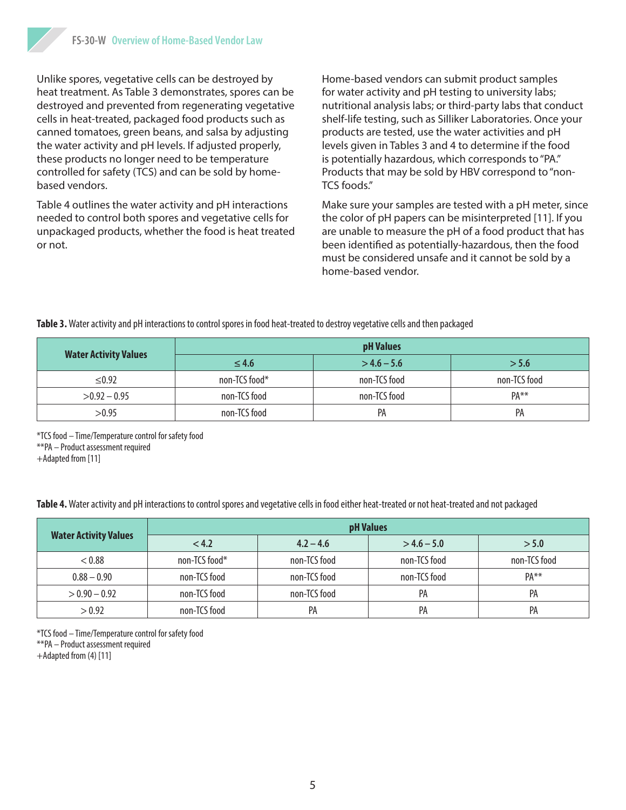Unlike spores, vegetative cells can be destroyed by heat treatment. As Table 3 demonstrates, spores can be destroyed and prevented from regenerating vegetative cells in heat-treated, packaged food products such as canned tomatoes, green beans, and salsa by adjusting the water activity and pH levels. If adjusted properly, these products no longer need to be temperature controlled for safety (TCS) and can be sold by homebased vendors.

Table 4 outlines the water activity and pH interactions needed to control both spores and vegetative cells for unpackaged products, whether the food is heat treated or not.

Home-based vendors can submit product samples for water activity and pH testing to university labs; nutritional analysis labs; or third-party labs that conduct shelf-life testing, such as Silliker Laboratories. Once your products are tested, use the water activities and pH levels given in Tables 3 and 4 to determine if the food is potentially hazardous, which corresponds to "PA." Products that may be sold by HBV correspond to "non-TCS foods."

Make sure your samples are tested with a pH meter, since the color of pH papers can be misinterpreted [11]. If you are unable to measure the pH of a food product that has been identified as potentially-hazardous, then the food must be considered unsafe and it cannot be sold by a home-based vendor.

**Table 3.** Water activity and pH interactions to control spores in food heat-treated to destroy vegetative cells and then packaged

|                              | pH Values     |               |              |  |
|------------------------------|---------------|---------------|--------------|--|
| <b>Water Activity Values</b> | $\leq 4.6$    | $>$ 4.6 – 5.6 | > 5.6        |  |
| $\leq 0.92$                  | non-TCS food* | non-TCS food  | non-TCS food |  |
| $>0.92 - 0.95$               | non-TCS food  | non-TCS food  | $PA**$       |  |
| >0.95                        | non-TCS food  | PA            | PA           |  |

\*TCS food – Time/Temperature control for safety food \*\*PA – Product assessment required +Adapted from [11]

**Table 4.** Water activity and pH interactions to control spores and vegetative cells in food either heat-treated or not heat-treated and not packaged

|                              | pH Values     |              |               |              |
|------------------------------|---------------|--------------|---------------|--------------|
| <b>Water Activity Values</b> | < 4.2         | $4.2 - 4.6$  | $>$ 4.6 – 5.0 | > 5.0        |
| < 0.88                       | non-TCS food* | non-TCS food | non-TCS food  | non-TCS food |
| $0.88 - 0.90$                | non-TCS food  | non-TCS food | non-TCS food  | $PA**$       |
| $> 0.90 - 0.92$              | non-TCS food  | non-TCS food | PA            | PA           |
| > 0.92                       | non-TCS food  | PA           | PA            | PA           |

\*TCS food – Time/Temperature control for safety food \*\*PA – Product assessment required +Adapted from (4) [11]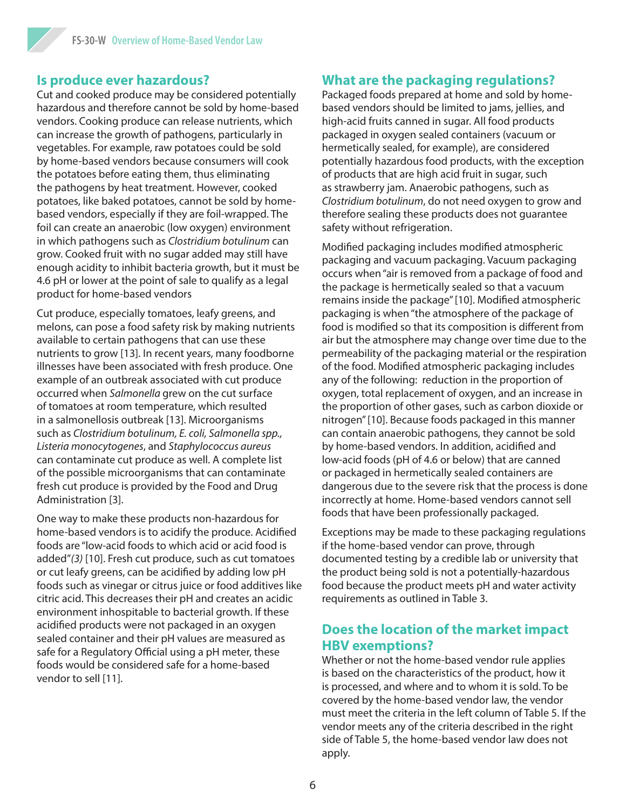### **Is produce ever hazardous?**

Cut and cooked produce may be considered potentially hazardous and therefore cannot be sold by home-based vendors. Cooking produce can release nutrients, which can increase the growth of pathogens, particularly in vegetables. For example, raw potatoes could be sold by home-based vendors because consumers will cook the potatoes before eating them, thus eliminating the pathogens by heat treatment. However, cooked potatoes, like baked potatoes, cannot be sold by homebased vendors, especially if they are foil-wrapped. The foil can create an anaerobic (low oxygen) environment in which pathogens such as *Clostridium botulinum* can grow. Cooked fruit with no sugar added may still have enough acidity to inhibit bacteria growth, but it must be 4.6 pH or lower at the point of sale to qualify as a legal product for home-based vendors

Cut produce, especially tomatoes, leafy greens, and melons, can pose a food safety risk by making nutrients available to certain pathogens that can use these nutrients to grow [13]. In recent years, many foodborne illnesses have been associated with fresh produce. One example of an outbreak associated with cut produce occurred when *Salmonella* grew on the cut surface of tomatoes at room temperature, which resulted in a salmonellosis outbreak [13]. Microorganisms such as *Clostridium botulinum, E. coli, Salmonella spp., Listeria monocytogenes*, and *Staphylococcus aureus* can contaminate cut produce as well. A complete list of the possible microorganisms that can contaminate fresh cut produce is provided by the Food and Drug Administration [3].

One way to make these products non-hazardous for home-based vendors is to acidify the produce. Acidified foods are "low-acid foods to which acid or acid food is added"*(3)* [10]. Fresh cut produce, such as cut tomatoes or cut leafy greens, can be acidified by adding low pH foods such as vinegar or citrus juice or food additives like citric acid. This decreases their pH and creates an acidic environment inhospitable to bacterial growth. If these acidified products were not packaged in an oxygen sealed container and their pH values are measured as safe for a Regulatory Official using a pH meter, these foods would be considered safe for a home-based vendor to sell [11].

## **What are the packaging regulations?**

Packaged foods prepared at home and sold by homebased vendors should be limited to jams, jellies, and high-acid fruits canned in sugar. All food products packaged in oxygen sealed containers (vacuum or hermetically sealed, for example), are considered potentially hazardous food products, with the exception of products that are high acid fruit in sugar, such as strawberry jam. Anaerobic pathogens, such as *Clostridium botulinum*, do not need oxygen to grow and therefore sealing these products does not guarantee safety without refrigeration.

Modified packaging includes modified atmospheric packaging and vacuum packaging. Vacuum packaging occurs when "air is removed from a package of food and the package is hermetically sealed so that a vacuum remains inside the package" [10]. Modified atmospheric packaging is when "the atmosphere of the package of food is modified so that its composition is different from air but the atmosphere may change over time due to the permeability of the packaging material or the respiration of the food. Modified atmospheric packaging includes any of the following: reduction in the proportion of oxygen, total replacement of oxygen, and an increase in the proportion of other gases, such as carbon dioxide or nitrogen" [10]. Because foods packaged in this manner can contain anaerobic pathogens, they cannot be sold by home-based vendors. In addition, acidified and low-acid foods (pH of 4.6 or below) that are canned or packaged in hermetically sealed containers are dangerous due to the severe risk that the process is done incorrectly at home. Home-based vendors cannot sell foods that have been professionally packaged.

Exceptions may be made to these packaging regulations if the home-based vendor can prove, through documented testing by a credible lab or university that the product being sold is not a potentially-hazardous food because the product meets pH and water activity requirements as outlined in Table 3.

## **Does the location of the market impact HBV exemptions?**

Whether or not the home-based vendor rule applies is based on the characteristics of the product, how it is processed, and where and to whom it is sold. To be covered by the home-based vendor law, the vendor must meet the criteria in the left column of Table 5. If the vendor meets any of the criteria described in the right side of Table 5, the home-based vendor law does not apply.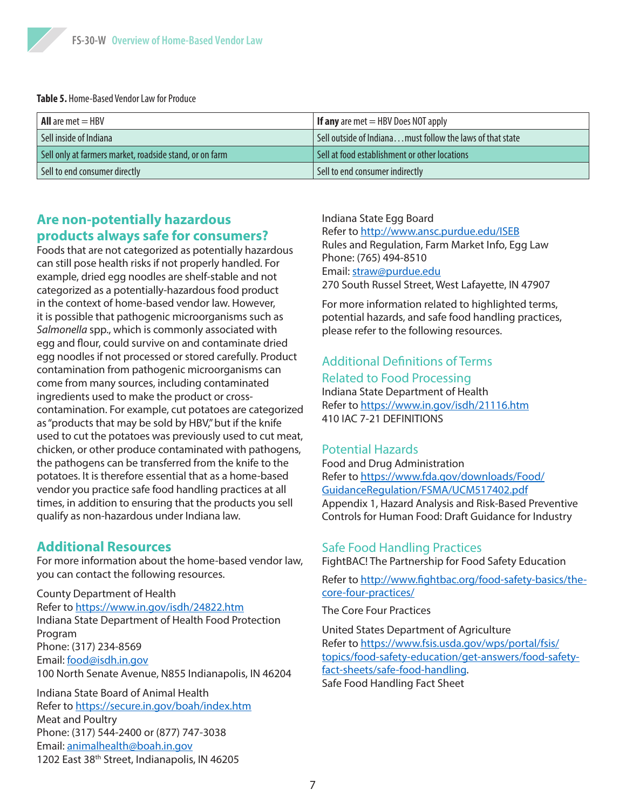

**Table 5.** Home-Based Vendor Law for Produce

| $\mathsf{I}$ All are met $=$ HBV                        | <b>If any</b> are met $=$ HBV Does NOT apply               |
|---------------------------------------------------------|------------------------------------------------------------|
| Sell inside of Indiana                                  | Sell outside of Indiana must follow the laws of that state |
| Sell only at farmers market, roadside stand, or on farm | Sell at food establishment or other locations              |
| Sell to end consumer directly                           | Sell to end consumer indirectly                            |

## **Are non-potentially hazardous products always safe for consumers?**

Foods that are not categorized as potentially hazardous can still pose health risks if not properly handled. For example, dried egg noodles are shelf-stable and not categorized as a potentially-hazardous food product in the context of home-based vendor law. However, it is possible that pathogenic microorganisms such as *Salmonella* spp., which is commonly associated with egg and flour, could survive on and contaminate dried egg noodles if not processed or stored carefully. Product contamination from pathogenic microorganisms can come from many sources, including contaminated ingredients used to make the product or crosscontamination. For example, cut potatoes are categorized as "products that may be sold by HBV," but if the knife used to cut the potatoes was previously used to cut meat, chicken, or other produce contaminated with pathogens, the pathogens can be transferred from the knife to the potatoes. It is therefore essential that as a home-based vendor you practice safe food handling practices at all times, in addition to ensuring that the products you sell qualify as non-hazardous under Indiana law.

#### **Additional Resources**

For more information about the home-based vendor law, you can contact the following resources.

County Department of Health Refer to <https://www.in.gov/isdh/24822.htm> Indiana State Department of Health Food Protection Program Phone: (317) 234-8569 Email: [food@isdh.in.gov](mailto:food@isdh.in.gov) 100 North Senate Avenue, N855 Indianapolis, IN 46204

Indiana State Board of Animal Health Refer to <https://secure.in.gov/boah/index.htm> Meat and Poultry Phone: (317) 544-2400 or (877) 747-3038 Email: [animalhealth@boah.in.gov](mailto:animalhealth@boah.in.gov) 1202 East 38<sup>th</sup> Street, Indianapolis, IN 46205

#### Indiana State Egg Board

Refer to <http://www.ansc.purdue.edu/ISEB> Rules and Regulation, Farm Market Info, Egg Law Phone: (765) 494-8510 Email: [straw@purdue.edu](mailto:straw@purdue.edu) 270 South Russel Street, West Lafayette, IN 47907

For more information related to highlighted terms, potential hazards, and safe food handling practices, please refer to the following resources.

# Additional Definitions of Terms

#### Related to Food Processing

Indiana State Department of Health Refer to <https://www.in.gov/isdh/21116.htm> 410 IAC 7-21 DEFINITIONS

#### Potential Hazards

Food and Drug Administration Refer to [https://www.fda.gov/downloads/Food/](https://www.fda.gov/downloads/Food/GuidanceRegulation/FSMA/UCM517402.pdf) [GuidanceRegulation/FSMA/UCM517402.pdf](https://www.fda.gov/downloads/Food/GuidanceRegulation/FSMA/UCM517402.pdf) Appendix 1, Hazard Analysis and Risk-Based Preventive Controls for Human Food: Draft Guidance for Industry

#### Safe Food Handling Practices

FightBAC! The Partnership for Food Safety Education

Refer to [http://www.fightbac.org/food-safety-basics/the](http://www.fightbac.org/food-safety-basics/the-core-four-practices/)[core-four-practices/](http://www.fightbac.org/food-safety-basics/the-core-four-practices/)

The Core Four Practices

United States Department of Agriculture Refer to [https://www.fsis.usda.gov/wps/portal/fsis/](https://www.fsis.usda.gov/wps/portal/fsis/topics/food-safety-education/get-answers/food-safety-fact-sheets/safe-food-handling) [topics/food-safety-education/get-answers/food-safety](https://www.fsis.usda.gov/wps/portal/fsis/topics/food-safety-education/get-answers/food-safety-fact-sheets/safe-food-handling)[fact-sheets/safe-food-handling](https://www.fsis.usda.gov/wps/portal/fsis/topics/food-safety-education/get-answers/food-safety-fact-sheets/safe-food-handling). Safe Food Handling Fact Sheet